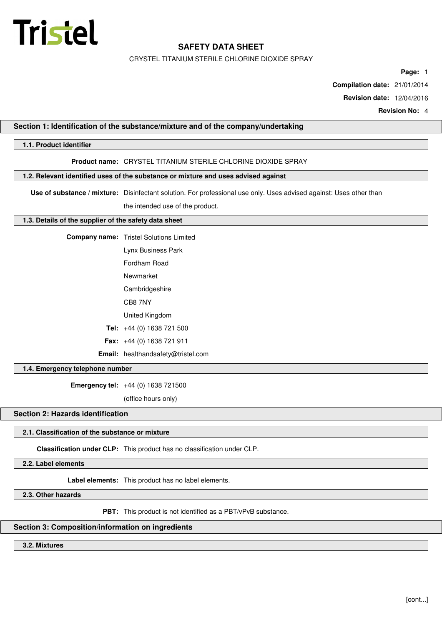

CRYSTEL TITANIUM STERILE CHLORINE DIOXIDE SPRAY

**Page:** 1

**Compilation date:** 21/01/2014

**Revision date:** 12/04/2016

**Revision No:** 4

## **Section 1: Identification of the substance/mixture and of the company/undertaking**

## **1.1. Product identifier**

## **Product name:** CRYSTEL TITANIUM STERILE CHLORINE DIOXIDE SPRAY

## **1.2. Relevant identified uses of the substance or mixture and uses advised against**

**Use of substance / mixture:** Disinfectant solution. For professional use only. Uses advised against: Uses other than

the intended use of the product.

## **1.3. Details of the supplier of the safety data sheet**

**Company name:** Tristel Solutions Limited

Lynx Business Park

Fordham Road

Newmarket

Cambridgeshire

CB8 7NY

United Kingdom

**Tel:** +44 (0) 1638 721 500

**Fax:** +44 (0) 1638 721 911

**Email:** healthandsafety@tristel.com

## **1.4. Emergency telephone number**

**Emergency tel:** +44 (0) 1638 721500

(office hours only)

# **Section 2: Hazards identification**

## **2.1. Classification of the substance or mixture**

**Classification under CLP:** This product has no classification under CLP.

**2.2. Label elements**

**Label elements:** This product has no label elements.

**2.3. Other hazards**

**PBT:** This product is not identified as a PBT/vPvB substance.

## **Section 3: Composition/information on ingredients**

### **3.2. Mixtures**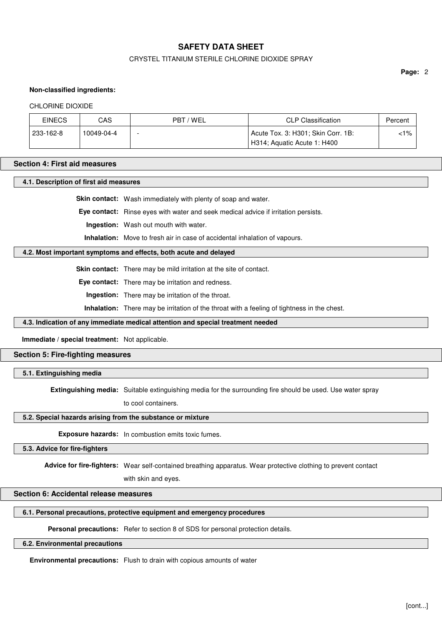## CRYSTEL TITANIUM STERILE CHLORINE DIOXIDE SPRAY

**Page:** 2

### **Non-classified ingredients:**

#### CHLORINE DIOXIDE

| <b>EINECS</b> | CAS        | PBT / WEL | CLP Classification                 | Percent |
|---------------|------------|-----------|------------------------------------|---------|
| 233-162-8     | 10049-04-4 |           | Acute Tox. 3: H301; Skin Corr. 1B: | $< 1\%$ |
|               |            |           | H314; Aquatic Acute 1: H400        |         |

### **Section 4: First aid measures**

**4.1. Description of first aid measures**

**Skin contact:** Wash immediately with plenty of soap and water.

**Eye contact:** Rinse eyes with water and seek medical advice if irritation persists.

**Ingestion:** Wash out mouth with water.

**Inhalation:** Move to fresh air in case of accidental inhalation of vapours.

### **4.2. Most important symptoms and effects, both acute and delayed**

**Skin contact:** There may be mild irritation at the site of contact.

**Eye contact:** There may be irritation and redness.

**Ingestion:** There may be irritation of the throat.

**Inhalation:** There may be irritation of the throat with a feeling of tightness in the chest.

## **4.3. Indication of any immediate medical attention and special treatment needed**

**Immediate / special treatment:** Not applicable.

## **Section 5: Fire-fighting measures**

## **5.1. Extinguishing media**

**Extinguishing media:** Suitable extinguishing media for the surrounding fire should be used. Use water spray

to cool containers.

## **5.2. Special hazards arising from the substance or mixture**

**Exposure hazards:** In combustion emits toxic fumes.

### **5.3. Advice for fire-fighters**

**Advice for fire-fighters:** Wear self-contained breathing apparatus. Wear protective clothing to prevent contact

with skin and eyes.

## **Section 6: Accidental release measures**

## **6.1. Personal precautions, protective equipment and emergency procedures**

**Personal precautions:** Refer to section 8 of SDS for personal protection details.

## **6.2. Environmental precautions**

**Environmental precautions:** Flush to drain with copious amounts of water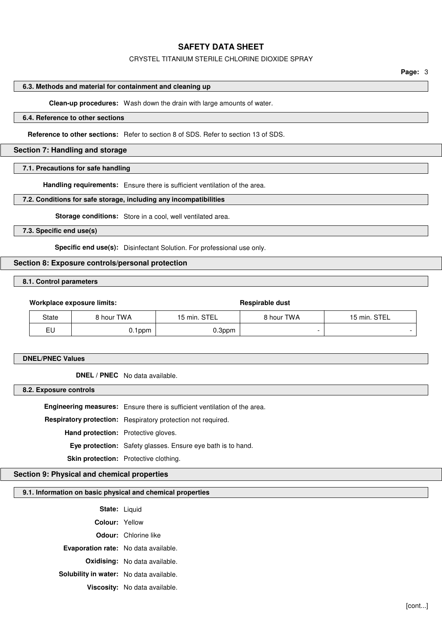### CRYSTEL TITANIUM STERILE CHLORINE DIOXIDE SPRAY

**Page:** 3

#### **6.3. Methods and material for containment and cleaning up**

**Clean-up procedures:** Wash down the drain with large amounts of water.

## **6.4. Reference to other sections**

**Reference to other sections:** Refer to section 8 of SDS. Refer to section 13 of SDS.

### **Section 7: Handling and storage**

#### **7.1. Precautions for safe handling**

**Handling requirements:** Ensure there is sufficient ventilation of the area.

## **7.2. Conditions for safe storage, including any incompatibilities**

**Storage conditions:** Store in a cool, well ventilated area.

**7.3. Specific end use(s)**

**Specific end use(s):** Disinfectant Solution. For professional use only.

## **Section 8: Exposure controls/personal protection**

## **8.1. Control parameters**

### Workplace exposure limits: **Respirable dust** Respirable dust

| State | <sup>3</sup> hour TWA | STEL<br>min.<br>.b | 8 hour TWA | <b>STEL</b><br>$15$ min. |
|-------|-----------------------|--------------------|------------|--------------------------|
| EU    | 0.1ppm                | .3ppm              |            |                          |

### **DNEL/PNEC Values**

**DNEL / PNEC** No data available.

**8.2. Exposure controls**

**Engineering measures:** Ensure there is sufficient ventilation of the area.

**Respiratory protection:** Respiratory protection not required.

**Hand protection:** Protective gloves.

**Eye protection:** Safety glasses. Ensure eye bath is to hand.

**Skin protection:** Protective clothing.

## **Section 9: Physical and chemical properties**

## **9.1. Information on basic physical and chemical properties**

| <b>State: Liquid</b>                        |                                      |
|---------------------------------------------|--------------------------------------|
| <b>Colour: Yellow</b>                       |                                      |
|                                             | <b>Odour:</b> Chlorine like          |
| <b>Evaporation rate:</b> No data available. |                                      |
|                                             | <b>Oxidising:</b> No data available. |
|                                             |                                      |

**Solubility in water:** No data available.

**Viscosity:** No data available.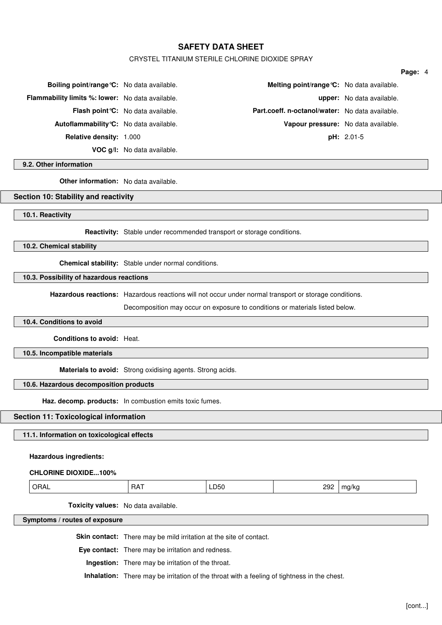### CRYSTEL TITANIUM STERILE CHLORINE DIOXIDE SPRAY

| <b>Boiling point/range °C:</b> No data available. |                                           | <b>Melting point/range °C:</b> No data available. |                                  |
|---------------------------------------------------|-------------------------------------------|---------------------------------------------------|----------------------------------|
| Flammability limits %: lower: No data available.  |                                           |                                                   | <b>upper:</b> No data available. |
|                                                   | <b>Flash point °C:</b> No data available. | Part.coeff. n-octanol/water: No data available.   |                                  |
| Autoflammability °C: No data available.           |                                           | Vapour pressure: No data available.               |                                  |
| <b>Relative density: 1.000</b>                    |                                           |                                                   | $pH: 2.01-5$                     |
|                                                   | <b>VOC g/l:</b> No data available.        |                                                   |                                  |

#### **9.2. Other information**

**Other information:** No data available.

## **Section 10: Stability and reactivity**

## **10.1. Reactivity**

**Reactivity:** Stable under recommended transport or storage conditions.

**10.2. Chemical stability**

**Chemical stability:** Stable under normal conditions.

# **10.3. Possibility of hazardous reactions**

**Hazardous reactions:** Hazardous reactions will not occur under normal transport or storage conditions.

Decomposition may occur on exposure to conditions or materials listed below.

## **10.4. Conditions to avoid**

**Conditions to avoid:** Heat.

**10.5. Incompatible materials**

**Materials to avoid:** Strong oxidising agents. Strong acids.

### **10.6. Hazardous decomposition products**

**Haz. decomp. products:** In combustion emits toxic fumes.

### **Section 11: Toxicological information**

### **11.1. Information on toxicological effects**

### **Hazardous ingredients:**

#### **CHLORINE DIOXIDE...100%**

| $AA^T$<br>oo⊆<br>່∩RA∟<br>- U5C<br>ma a llec<br>110 K<br>л.<br>.<br>$\sim$ $\sim$<br>__ |  |  |
|-----------------------------------------------------------------------------------------|--|--|
|-----------------------------------------------------------------------------------------|--|--|

**Toxicity values:** No data available.

**Symptoms / routes of exposure**

**Skin contact:** There may be mild irritation at the site of contact.

**Eye contact:** There may be irritation and redness.

**Ingestion:** There may be irritation of the throat.

**Inhalation:** There may be irritation of the throat with a feeling of tightness in the chest.

**Page:** 4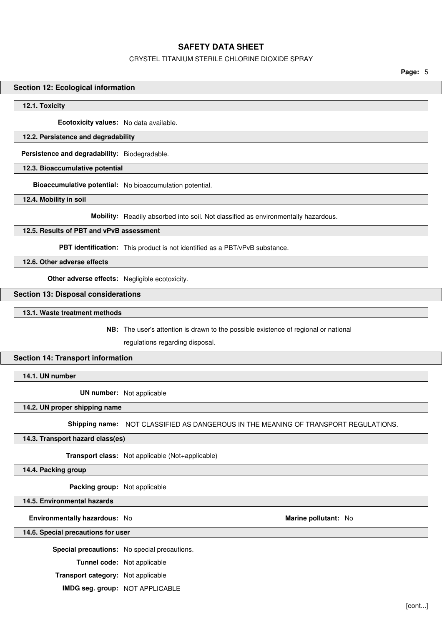#### CRYSTEL TITANIUM STERILE CHLORINE DIOXIDE SPRAY

**Page:** 5

### **Section 12: Ecological information**

#### **12.1. Toxicity**

**Ecotoxicity values:** No data available.

#### **12.2. Persistence and degradability**

**Persistence and degradability:** Biodegradable.

**12.3. Bioaccumulative potential**

**Bioaccumulative potential:** No bioaccumulation potential.

**12.4. Mobility in soil**

**Mobility:** Readily absorbed into soil. Not classified as environmentally hazardous.

## **12.5. Results of PBT and vPvB assessment**

**PBT identification:** This product is not identified as a PBT/vPvB substance.

### **12.6. Other adverse effects**

**Other adverse effects:** Negligible ecotoxicity.

#### **Section 13: Disposal considerations**

**13.1. Waste treatment methods**

**NB:** The user's attention is drawn to the possible existence of regional or national

regulations regarding disposal.

## **Section 14: Transport information**

**14.1. UN number**

**UN number:** Not applicable

## **14.2. UN proper shipping name**

**Shipping name:** NOT CLASSIFIED AS DANGEROUS IN THE MEANING OF TRANSPORT REGULATIONS.

**14.3. Transport hazard class(es)**

**Transport class:** Not applicable (Not+applicable)

**14.4. Packing group**

**Packing group:** Not applicable

**14.5. Environmental hazards**

#### **Environmentally hazardous:** No **Marine pollutant:** No

**14.6. Special precautions for user**

**Special precautions:** No special precautions.

**Tunnel code:** Not applicable

**Transport category:** Not applicable

**IMDG seg. group:** NOT APPLICABLE